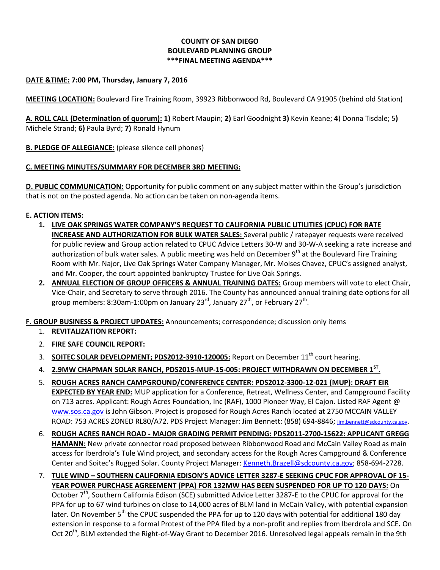# **COUNTY OF SAN DIEGO BOULEVARD PLANNING GROUP \*\*\*FINAL MEETING AGENDA\*\*\***

### **DATE &TIME: 7:00 PM, Thursday, January 7, 2016**

**MEETING LOCATION:** Boulevard Fire Training Room, 39923 Ribbonwood Rd, Boulevard CA 91905 (behind old Station)

**A. ROLL CALL (Determination of quorum): 1)** Robert Maupin; **2)** Earl Goodnight **3)** Kevin Keane; **4**) Donna Tisdale; 5**)**  Michele Strand; **6)** Paula Byrd; **7)** Ronald Hynum

**B. PLEDGE OF ALLEGIANCE:** (please silence cell phones)

### **C. MEETING MINUTES/SUMMARY FOR DECEMBER 3RD MEETING:**

**D. PUBLIC COMMUNICATION:** Opportunity for public comment on any subject matter within the Group's jurisdiction that is not on the posted agenda. No action can be taken on non-agenda items.

### **E. ACTION ITEMS:**

- **1. LIVE OAK SPRINGS WATER COMPANY'S REQUEST TO CALIFORNIA PUBLIC UTILITIES (CPUC) FOR RATE INCREASE AND AUTHORIZATION FOR BULK WATER SALES:** Several public / ratepayer requests were received for public review and Group action related to CPUC Advice Letters 30-W and 30-W-A seeking a rate increase and authorization of bulk water sales. A public meeting was held on December  $9<sup>th</sup>$  at the Boulevard Fire Training Room with Mr. Najor, Live Oak Springs Water Company Manager, Mr. Moises Chavez, CPUC's assigned analyst, and Mr. Cooper, the court appointed bankruptcy Trustee for Live Oak Springs.
- **2. ANNUAL ELECTION OF GROUP OFFICERS & ANNUAL TRAINING DATES:** Group members will vote to elect Chair, Vice-Chair, and Secretary to serve through 2016. The County has announced annual training date options for all group members: 8:30am-1:00pm on January 23 $^{\text{rd}}$ , January 27 $^{\text{th}}$ , or February 27 $^{\text{th}}$ .

# **F. GROUP BUSINESS & PROJECT UPDATES:** Announcements; correspondence; discussion only items

- 1. **REVITALIZATION REPORT:**
- 2. **FIRE SAFE COUNCIL REPORT:**
- 3. **SOITEC SOLAR DEVELOPMENT; PDS2012-3910-120005:** Report on December 11<sup>th</sup> court hearing.
- 4. **2.9MW CHAPMAN SOLAR RANCH, PDS2015-MUP-15-005: PROJECT WITHDRAWN ON DECEMBER 1ST .**
- 5. **ROUGH ACRES RANCH CAMPGROUND/CONFERENCE CENTER: PDS2012-3300-12-021 (MUP): DRAFT EIR EXPECTED BY YEAR END:** MUP application for a Conference, Retreat, Wellness Center, and Campground Facility on 713 acres. Applicant: Rough Acres Foundation, Inc (RAF), 1000 Pioneer Way, El Cajon. Listed RAF Agent @ [www.sos.ca.gov](http://www.sos.ca.gov/) is John Gibson. Project is proposed for Rough Acres Ranch located at 2750 MCCAIN VALLEY ROAD: 753 ACRES ZONED RL80/A72. PDS Project Manager: Jim Bennett: (858) 694-8846; [jim.bennett@sdcounty.ca.gov](mailto:jim.bennett@sdcounty.ca.gov).
- 6. **ROUGH ACRES RANCH ROAD - MAJOR GRADING PERMIT PENDING: PDS2011-2700-15622: APPLICANT GREGG HAMANN:** New private connector road proposed between Ribbonwood Road and McCain Valley Road as main access for Iberdrola's Tule Wind project, and secondary access for the Rough Acres Campground & Conference Center and Soitec's Rugged Solar. County Project Manager[: Kenneth.Brazell@sdcounty.ca.gov;](mailto:Kenneth.Brazell@sdcounty.ca.gov) 858-694-2728.
- 7. **TULE WIND – SOUTHERN CALIFORNIA EDISON'S ADVICE LETTER 3287-E SEEKING CPUC FOR APPROVAL OF 15- YEAR POWER PURCHASE AGREEMENT (PPA) FOR 132MW HAS BEEN SUSPENDED FOR UP TO 120 DAYS:** On October 7<sup>th</sup>, Southern California Edison (SCE) submitted Advice Letter 3287-E to the CPUC for approval for the PPA for up to 67 wind turbines on close to 14,000 acres of BLM land in McCain Valley, with potential expansion later. On November  $5<sup>th</sup>$  the CPUC suspended the PPA for up to 120 days with potential for additional 180 day extension in response to a formal Protest of the PPA filed by a non-profit and replies from Iberdrola and SCE**.** On Oct 20<sup>th</sup>, BLM extended the Right-of-Way Grant to December 2016. Unresolved legal appeals remain in the 9th